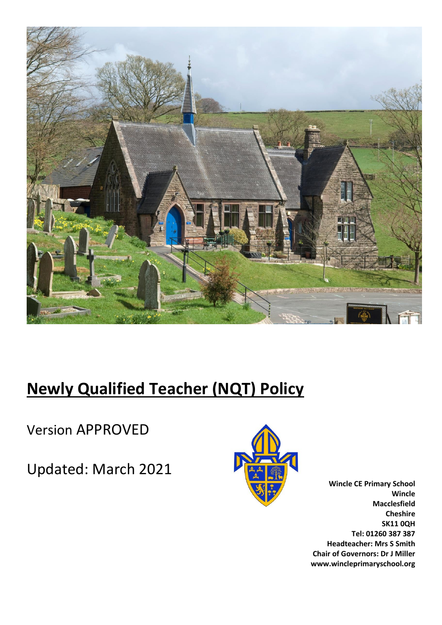

# **Newly Qualified Teacher (NQT) Policy**

Version APPROVED

Updated: March 2021



**Wincle CE Primary School Wincle Macclesfield Cheshire SK11 0QH Tel: 01260 387 387 Headteacher: Mrs S Smith Chair of Governors: Dr J Miller www.wincleprimaryschool.org**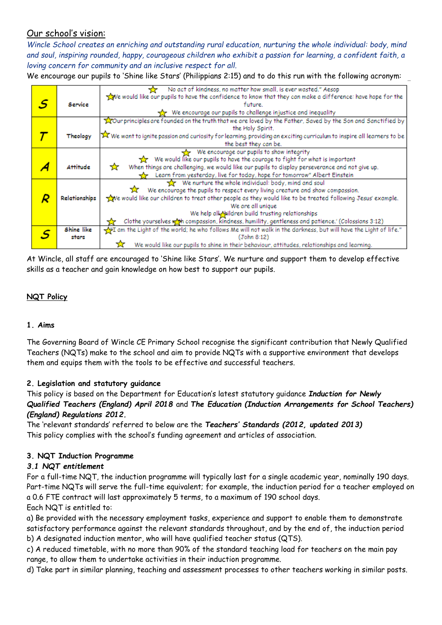# Our school's vision:

*Wincle School creates an enriching and outstanding rural education, nurturing the whole individual: body, mind and soul, inspiring rounded, happy, courageous children who exhibit a passion for learning, a confident faith, a loving concern for community and an inclusive respect for all.*

We encourage our pupils to 'Shine like Stars' (Philippians 2:15) and to do this run with the following acronym:

|   |               | No act of kindness, no matter how small, is ever wasted." Aesop<br>↽                                                                 |
|---|---------------|--------------------------------------------------------------------------------------------------------------------------------------|
|   |               | we would like our pupils to have the confidence to know that they can make a difference: have hope for the                           |
| S | Service       | future.                                                                                                                              |
|   |               | We encourage our pupils to challenge injustice and inequality                                                                        |
|   |               | ROur principles are founded on the truth that we are loved by the Father, Saved by the Son and Sanctified by                         |
|   |               | the Holy Spirit.                                                                                                                     |
|   | Theology      | X We want to ignite passion and curiosity for learning, providing an exciting curriculum to inspire all learners to be               |
|   |               | the best they can be.                                                                                                                |
|   |               | We encourage our pupils to show integrity                                                                                            |
|   |               | We would like our pupils to have the courage to fight for what is important<br>537.                                                  |
|   | Attitude      | When things are challenging, we would like our pupils to display perseverance and not give up.<br>₩                                  |
|   |               | Learn from yesterday, live for today, hope for tomorrow" Albert Einstein                                                             |
|   |               | We nurture the whole individual: body, mind and soul                                                                                 |
|   |               | We encourage the pupils to respect every living creature and show compassion.                                                        |
|   | Relationships | we would like our children to treat other people as they would like to be treated following Jesus' example.                          |
|   |               | We are all unique                                                                                                                    |
|   |               | We help all Maildren build trusting relationships                                                                                    |
|   |               | Clothe yourselves wat compassion, kindness, humility, gentleness and patience.' (Colossians 3:12)                                    |
|   | Shine like    | $\frac{1}{\sqrt{2}}$ I am the Light of the world; he who follows Me will not walk in the darkness, but will have the Light of life." |
|   | stars         | (John 8:12)                                                                                                                          |
|   |               | We would like our pupils to shine in their behaviour, attitudes, relationships and learning.                                         |

At Wincle, all staff are encouraged to 'Shine like Stars'. We nurture and support them to develop effective skills as a teacher and gain knowledge on how best to support our pupils.

## **NQT Policy**

#### **1. Aims**

The Governing Board of Wincle CE Primary School recognise the significant contribution that Newly Qualified Teachers (NQTs) make to the school and aim to provide NQTs with a supportive environment that develops them and equips them with the tools to be effective and successful teachers.

## **2. Legislation and statutory guidance**

This policy is based on the Department for Education's latest statutory guidance *Induction for Newly Qualified Teachers (England) April 2018* and *The Education (Induction Arrangements for School Teachers) (England) Regulations 2012.* 

The 'relevant standards' referred to below are the *Teachers' Standards (2012, updated 2013)*  This policy complies with the school's funding agreement and articles of association.

## **3. NQT Induction Programme**

## *3.1 NQT entitlement*

For a full-time NQT, the induction programme will typically last for a single academic year, nominally 190 days. Part-time NQTs will serve the full-time equivalent; for example, the induction period for a teacher employed on a 0.6 FTE contract will last approximately 5 terms, to a maximum of 190 school days.

## Each NQT is entitled to:

a) Be provided with the necessary employment tasks, experience and support to enable them to demonstrate satisfactory performance against the relevant standards throughout, and by the end of, the induction period b) A designated induction mentor, who will have qualified teacher status (QTS).

c) A reduced timetable, with no more than 90% of the standard teaching load for teachers on the main pay range, to allow them to undertake activities in their induction programme.

d) Take part in similar planning, teaching and assessment processes to other teachers working in similar posts.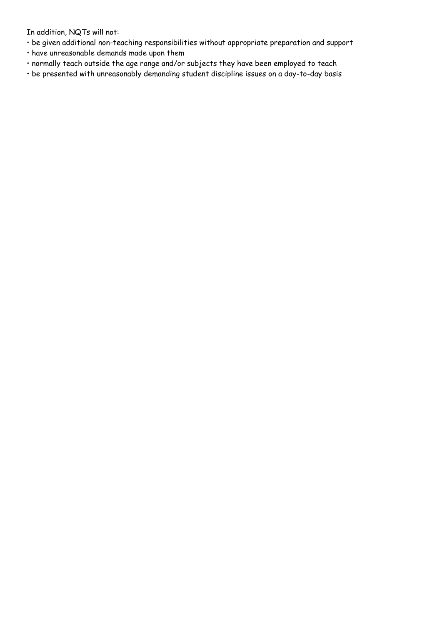In addition, NQTs will not:

- be given additional non-teaching responsibilities without appropriate preparation and support
- have unreasonable demands made upon them
- normally teach outside the age range and/or subjects they have been employed to teach
- be presented with unreasonably demanding student discipline issues on a day-to-day basis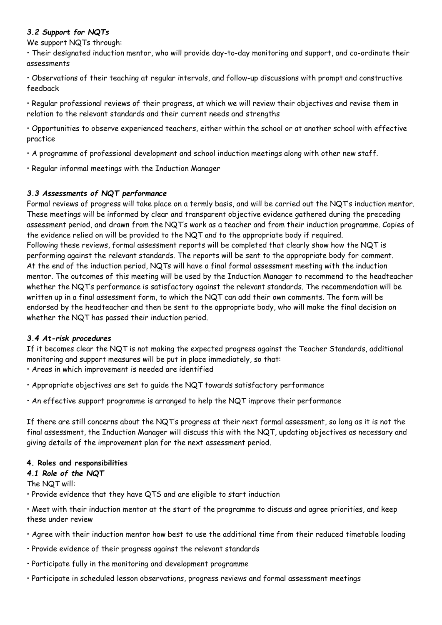## *3.2 Support for NQTs*

We support NQTs through:

• Their designated induction mentor, who will provide day-to-day monitoring and support, and co-ordinate their assessments

• Observations of their teaching at regular intervals, and follow-up discussions with prompt and constructive feedback

• Regular professional reviews of their progress, at which we will review their objectives and revise them in relation to the relevant standards and their current needs and strengths

• Opportunities to observe experienced teachers, either within the school or at another school with effective practice

• A programme of professional development and school induction meetings along with other new staff.

• Regular informal meetings with the Induction Manager

## *3.3 Assessments of NQT performance*

Formal reviews of progress will take place on a termly basis, and will be carried out the NQT's induction mentor. These meetings will be informed by clear and transparent objective evidence gathered during the preceding assessment period, and drawn from the NQT's work as a teacher and from their induction programme. Copies of the evidence relied on will be provided to the NQT and to the appropriate body if required. Following these reviews, formal assessment reports will be completed that clearly show how the NQT is performing against the relevant standards. The reports will be sent to the appropriate body for comment. At the end of the induction period, NQTs will have a final formal assessment meeting with the induction mentor. The outcomes of this meeting will be used by the Induction Manager to recommend to the headteacher whether the NQT's performance is satisfactory against the relevant standards. The recommendation will be written up in a final assessment form, to which the NQT can add their own comments. The form will be endorsed by the headteacher and then be sent to the appropriate body, who will make the final decision on whether the NQT has passed their induction period.

#### *3.4 At-risk procedures*

If it becomes clear the NQT is not making the expected progress against the Teacher Standards, additional monitoring and support measures will be put in place immediately, so that:

• Areas in which improvement is needed are identified

- Appropriate objectives are set to guide the NQT towards satisfactory performance
- An effective support programme is arranged to help the NQT improve their performance

If there are still concerns about the NQT's progress at their next formal assessment, so long as it is not the final assessment, the Induction Manager will discuss this with the NQT, updating objectives as necessary and giving details of the improvement plan for the next assessment period.

#### **4. Roles and responsibilities**

#### *4.1 Role of the NQT*

The NQT will:

• Provide evidence that they have QTS and are eligible to start induction

• Meet with their induction mentor at the start of the programme to discuss and agree priorities, and keep these under review

- Agree with their induction mentor how best to use the additional time from their reduced timetable loading
- Provide evidence of their progress against the relevant standards
- Participate fully in the monitoring and development programme
- Participate in scheduled lesson observations, progress reviews and formal assessment meetings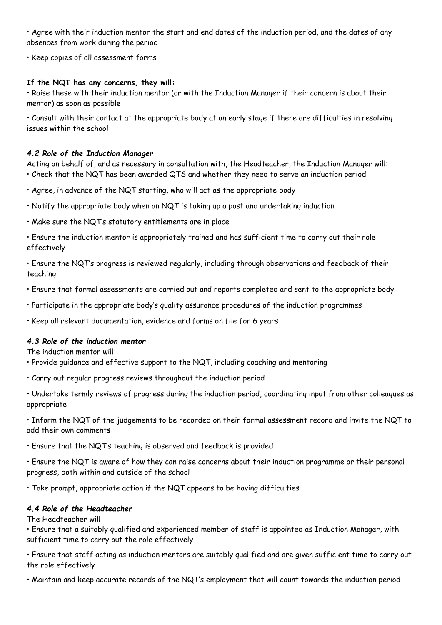• Agree with their induction mentor the start and end dates of the induction period, and the dates of any absences from work during the period

• Keep copies of all assessment forms

## **If the NQT has any concerns, they will:**

• Raise these with their induction mentor (or with the Induction Manager if their concern is about their mentor) as soon as possible

• Consult with their contact at the appropriate body at an early stage if there are difficulties in resolving issues within the school

## *4.2 Role of the Induction Manager*

Acting on behalf of, and as necessary in consultation with, the Headteacher, the Induction Manager will: • Check that the NQT has been awarded QTS and whether they need to serve an induction period

• Agree, in advance of the NQT starting, who will act as the appropriate body

• Notify the appropriate body when an NQT is taking up a post and undertaking induction

• Make sure the NQT's statutory entitlements are in place

• Ensure the induction mentor is appropriately trained and has sufficient time to carry out their role effectively

• Ensure the NQT's progress is reviewed regularly, including through observations and feedback of their teaching

• Ensure that formal assessments are carried out and reports completed and sent to the appropriate body

• Participate in the appropriate body's quality assurance procedures of the induction programmes

• Keep all relevant documentation, evidence and forms on file for 6 years

#### *4.3 Role of the induction mentor*

The induction mentor will:

• Provide guidance and effective support to the NQT, including coaching and mentoring

• Carry out regular progress reviews throughout the induction period

• Undertake termly reviews of progress during the induction period, coordinating input from other colleagues as appropriate

• Inform the NQT of the judgements to be recorded on their formal assessment record and invite the NQT to add their own comments

• Ensure that the NQT's teaching is observed and feedback is provided

• Ensure the NQT is aware of how they can raise concerns about their induction programme or their personal progress, both within and outside of the school

• Take prompt, appropriate action if the NQT appears to be having difficulties

#### *4.4 Role of the Headteacher*

The Headteacher will

• Ensure that a suitably qualified and experienced member of staff is appointed as Induction Manager, with sufficient time to carry out the role effectively

• Ensure that staff acting as induction mentors are suitably qualified and are given sufficient time to carry out the role effectively

• Maintain and keep accurate records of the NQT's employment that will count towards the induction period